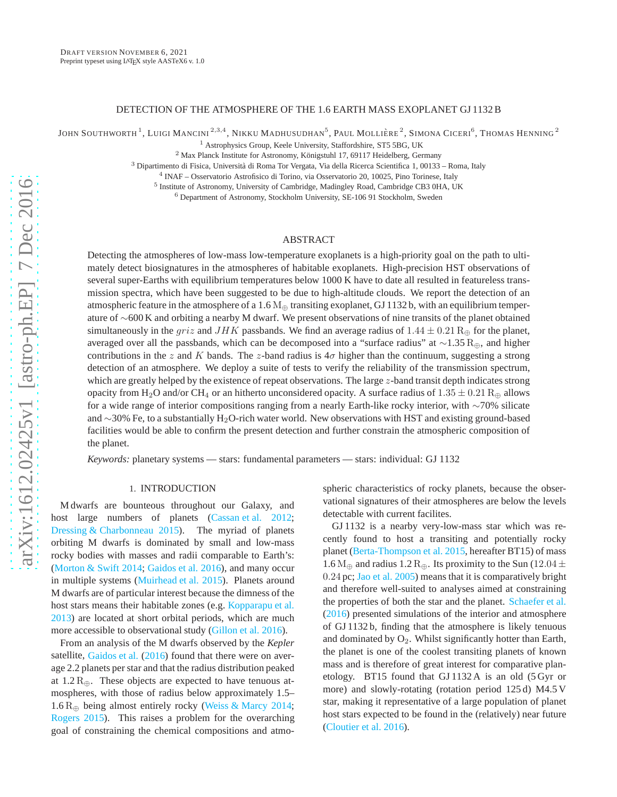#### DETECTION OF THE ATMOSPHERE OF THE 1.6 EARTH MASS EXOPLANET GJ 1132 B

JOHN SOUTHWORTH  $^1$ , LUIGI MANCINI  $^{2,3,4}$ , Nikku Madhusudhan $^5$ , Paul Mollière  $^2$ , Simona Ciceri $^6$ , Thomas Henning  $^2$ 

<sup>1</sup> Astrophysics Group, Keele University, Staffordshire, ST5 5BG, UK

 $^2$ Max Planck Institute for Astronomy, Königstuhl 17, 69117 Heidelberg, Germany

<sup>3</sup> Dipartimento di Fisica, Università di Roma Tor Vergata, Via della Ricerca Scientifica 1, 00133 – Roma, Italy

4 INAF – Osservatorio Astrofisico di Torino, via Osservatorio 20, 10025, Pino Torinese, Italy

<sup>5</sup> Institute of Astronomy, University of Cambridge, Madingley Road, Cambridge CB3 0HA, UK

 $6$  Department of Astronomy, Stockholm University, SE-106 91 Stockholm, Sweden

# ABSTRACT

Detecting the atmospheres of low-mass low-temperature exoplanets is a high-priority goal on the path to ultimately detect biosignatures in the atmospheres of habitable exoplanets. High-precision HST observations of several super-Earths with equilibrium temperatures below 1000 K have to date all resulted in featureless transmission spectra, which have been suggested to be due to high-altitude clouds. We report the detection of an atmospheric feature in the atmosphere of a 1.6  $M_{\oplus}$  transiting exoplanet, GJ 1132 b, with an equilibrium temperature of ∼600 K and orbiting a nearby M dwarf. We present observations of nine transits of the planet obtained simultaneously in the griz and JHK passbands. We find an average radius of  $1.44 \pm 0.21$  R<sub>⊕</sub> for the planet, averaged over all the passbands, which can be decomposed into a "surface radius" at ∼1.35 R⊕, and higher contributions in the z and K bands. The z-band radius is  $4\sigma$  higher than the continuum, suggesting a strong detection of an atmosphere. We deploy a suite of tests to verify the reliability of the transmission spectrum, which are greatly helped by the existence of repeat observations. The large z-band transit depth indicates strong opacity from H<sub>2</sub>O and/or CH<sub>4</sub> or an hitherto unconsidered opacity. A surface radius of  $1.35 \pm 0.21$  R<sub>⊕</sub> allows for a wide range of interior compositions ranging from a nearly Earth-like rocky interior, with ∼70% silicate and ∼30% Fe, to a substantially H2O-rich water world. New observations with HST and existing ground-based facilities would be able to confirm the present detection and further constrain the atmospheric composition of the planet.

*Keywords:* planetary systems — stars: fundamental parameters — stars: individual: GJ 1132

#### 1. INTRODUCTION

M dwarfs are bounteous throughout our Galaxy, and host large numbers of planets [\(Cassan et al. 2012;](#page-12-0) [Dressing & Charbonneau 2015\)](#page-12-1). The myriad of planets orbiting M dwarfs is dominated by small and low-mass rocky bodies with masses and radii comparable to Earth's: [\(Morton & Swift 2014](#page-12-2); [Gaidos et al. 2016\)](#page-12-3), and many occur in multiple systems [\(Muirhead et al. 2015\)](#page-12-4). Planets around M dwarfs are of particular interest because the dimness of the host stars means their habitable zones (e.g. [Kopparapu et al.](#page-12-5) [2013\)](#page-12-5) are located at short orbital periods, which are much more accessible to observational study [\(Gillon et al. 2016\)](#page-12-6).

From an analysis of the M dwarfs observed by the *Kepler* satellite, [Gaidos et al.](#page-12-3) [\(2016\)](#page-12-3) found that there were on average 2.2 planets per star and that the radius distribution peaked at  $1.2 \, R_{\oplus}$ . These objects are expected to have tenuous atmospheres, with those of radius below approximately 1.5– 1.6 R<sub>⊕</sub> being almost entirely rocky [\(Weiss & Marcy 2014;](#page-12-7) [Rogers 2015](#page-12-8)). This raises a problem for the overarching goal of constraining the chemical compositions and atmospheric characteristics of rocky planets, because the observational signatures of their atmospheres are below the levels detectable with current facilites.

GJ 1132 is a nearby very-low-mass star which was recently found to host a transiting and potentially rocky planet [\(Berta-Thompson et al. 2015,](#page-12-9) hereafter BT15) of mass 1.6 M<sub>⊕</sub> and radius 1.2 R<sub>⊕</sub>. Its proximity to the Sun (12.04  $\pm$ 0.24 pc; [Jao et al. 2005\)](#page-12-10) means that it is comparatively bright and therefore well-suited to analyses aimed at constraining the properties of both the star and the planet. [Schaefer et al.](#page-12-11) [\(2016\)](#page-12-11) presented simulations of the interior and atmosphere of GJ 1132 b, finding that the atmosphere is likely tenuous and dominated by  $O_2$ . Whilst significantly hotter than Earth, the planet is one of the coolest transiting planets of known mass and is therefore of great interest for comparative planetology. BT15 found that GJ 1132 A is an old (5 Gyr or more) and slowly-rotating (rotation period 125 d) M4.5 V star, making it representative of a large population of planet host stars expected to be found in the (relatively) near future [\(Cloutier et al. 2016\)](#page-12-12).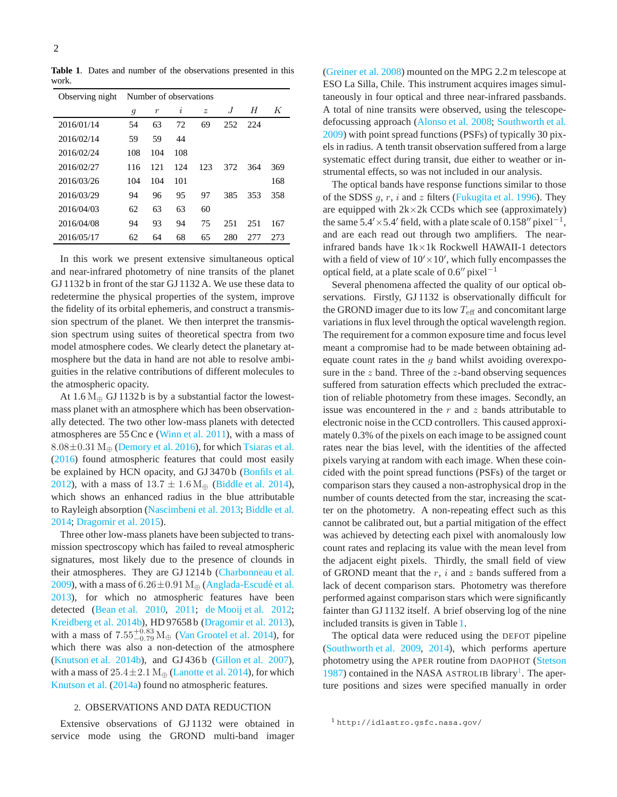<span id="page-1-0"></span>**Table 1**. Dates and number of the observations presented in this work.

| Observing night | Number of observations |                  |     |                  |     |     |     |
|-----------------|------------------------|------------------|-----|------------------|-----|-----|-----|
|                 | g                      | $\boldsymbol{r}$ | i   | $\boldsymbol{z}$ | J   | H   | K   |
| 2016/01/14      | 54                     | 63               | 72  | 69               | 252 | 224 |     |
| 2016/02/14      | 59                     | 59               | 44  |                  |     |     |     |
| 2016/02/24      | 108                    | 104              | 108 |                  |     |     |     |
| 2016/02/27      | 116                    | 121              | 124 | 123              | 372 | 364 | 369 |
| 2016/03/26      | 104                    | 104              | 101 |                  |     |     | 168 |
| 2016/03/29      | 94                     | 96               | 95  | 97               | 385 | 353 | 358 |
| 2016/04/03      | 62                     | 63               | 63  | 60               |     |     |     |
| 2016/04/08      | 94                     | 93               | 94  | 75               | 251 | 251 | 167 |
| 2016/05/17      | 62                     | 64               | 68  | 65               | 280 | 277 | 273 |

In this work we present extensive simultaneous optical and near-infrared photometry of nine transits of the planet GJ 1132 b in front of the star GJ 1132 A. We use these data to redetermine the physical properties of the system, improve the fidelity of its orbital ephemeris, and construct a transmission spectrum of the planet. We then interpret the transmission spectrum using suites of theoretical spectra from two model atmosphere codes. We clearly detect the planetary atmosphere but the data in hand are not able to resolve ambiguities in the relative contributions of different molecules to the atmospheric opacity.

At  $1.6 M_{\oplus}$  GJ 1132 b is by a substantial factor the lowestmass planet with an atmosphere which has been observationally detected. The two other low-mass planets with detected atmospheres are 55 Cnc e [\(Winn et al. 2011\)](#page-12-13), with a mass of  $8.08\pm0.31$  M<sub>⊕</sub> [\(Demory et al. 2016\)](#page-12-14), for which [Tsiaras et al.](#page-12-15) [\(2016](#page-12-15)) found atmospheric features that could most easily be explained by HCN opacity, and GJ 3470 b [\(Bonfils et al.](#page-12-16) [2012\)](#page-12-16), with a mass of  $13.7 \pm 1.6$  M<sub> $\oplus$ </sub> [\(Biddle et al. 2014\)](#page-12-17), which shows an enhanced radius in the blue attributable to Rayleigh absorption [\(Nascimbeni et al. 2013;](#page-12-18) [Biddle et al.](#page-12-17) [2014;](#page-12-17) [Dragomir et al. 2015\)](#page-12-19).

Three other low-mass planets have been subjected to transmission spectroscopy which has failed to reveal atmospheric signatures, most likely due to the presence of clounds in their atmospheres. They are GJ 1214b [\(Charbonneau et al.](#page-12-20) [2009\)](#page-12-20), with a mass of  $6.26 \pm 0.91$  M<sub>⊕</sub> (Anglada-Escudé et al. [2013\)](#page-12-21), for which no atmospheric features have been detected [\(Bean et al. 2010](#page-12-22), [2011;](#page-12-23) [de Mooij et al. 2012;](#page-12-24) [Kreidberg et al. 2014b\)](#page-12-25), HD 97658 b [\(Dragomir et al. 2013\)](#page-12-26), with a mass of  $7.55^{+0.83}_{-0.79}$  M<sub>⊕</sub> [\(Van Grootel et al. 2014](#page-12-27)), for which there was also a non-detection of the atmosphere [\(Knutson et al. 2014b\)](#page-12-28), and GJ 436 b [\(Gillon et al. 2007\)](#page-12-29), with a mass of  $25.4 \pm 2.1$  M<sub>⊕</sub> [\(Lanotte et al. 2014](#page-12-30)), for which [Knutson et al.](#page-12-31) [\(2014a\)](#page-12-31) found no atmospheric features.

#### 2. OBSERVATIONS AND DATA REDUCTION

Extensive observations of GJ 1132 were obtained in service mode using the GROND multi-band imager [\(Greiner et al. 2008\)](#page-12-32) mounted on the MPG 2.2 m telescope at ESO La Silla, Chile. This instrument acquires images simultaneously in four optical and three near-infrared passbands. A total of nine transits were observed, using the telescopedefocussing approach [\(Alonso et al. 2008;](#page-11-0) [Southworth et al.](#page-12-33) [2009\)](#page-12-33) with point spread functions (PSFs) of typically 30 pixels in radius. A tenth transit observation suffered from a large systematic effect during transit, due either to weather or instrumental effects, so was not included in our analysis.

The optical bands have response functions similar to those of the SDSS  $q, r, i$  and  $z$  filters [\(Fukugita et al. 1996\)](#page-12-34). They are equipped with  $2k \times 2k$  CCDs which see (approximately) the same  $5.4' \times 5.4'$  field, with a plate scale of 0.158″ pixel<sup>-1</sup>, and are each read out through two amplifiers. The nearinfrared bands have 1k×1k Rockwell HAWAII-1 detectors with a field of view of  $10' \times 10'$ , which fully encompasses the optical field, at a plate scale of  $0.6''$  pixel<sup>-1</sup>

Several phenomena affected the quality of our optical observations. Firstly, GJ 1132 is observationally difficult for the GROND imager due to its low  $T_{\text{eff}}$  and concomitant large variations in flux level through the optical wavelength region. The requirement for a common exposure time and focus level meant a compromise had to be made between obtaining adequate count rates in the  $q$  band whilst avoiding overexposure in the  $z$  band. Three of the  $z$ -band observing sequences suffered from saturation effects which precluded the extraction of reliable photometry from these images. Secondly, an issue was encountered in the  $r$  and  $z$  bands attributable to electronic noise in the CCD controllers. This caused approximately 0.3% of the pixels on each image to be assigned count rates near the bias level, with the identities of the affected pixels varying at random with each image. When these coincided with the point spread functions (PSFs) of the target or comparison stars they caused a non-astrophysical drop in the number of counts detected from the star, increasing the scatter on the photometry. A non-repeating effect such as this cannot be calibrated out, but a partial mitigation of the effect was achieved by detecting each pixel with anomalously low count rates and replacing its value with the mean level from the adjacent eight pixels. Thirdly, the small field of view of GROND meant that the  $r$ , i and z bands suffered from a lack of decent comparison stars. Photometry was therefore performed against comparison stars which were significantly fainter than GJ 1132 itself. A brief observing log of the nine included transits is given in Table [1.](#page-1-0)

The optical data were reduced using the DEFOT pipeline [\(Southworth et al. 2009,](#page-12-33) [2014\)](#page-12-35), which performs aperture photometry using the APER routine from DAOPHOT [\(Stetson](#page-12-36) [1987\)](#page-12-36) contained in the NASA ASTROLIB library<sup>[1](#page-1-1)</sup>. The aperture positions and sizes were specified manually in order

<span id="page-1-1"></span><sup>1</sup> http://idlastro.gsfc.nasa.gov/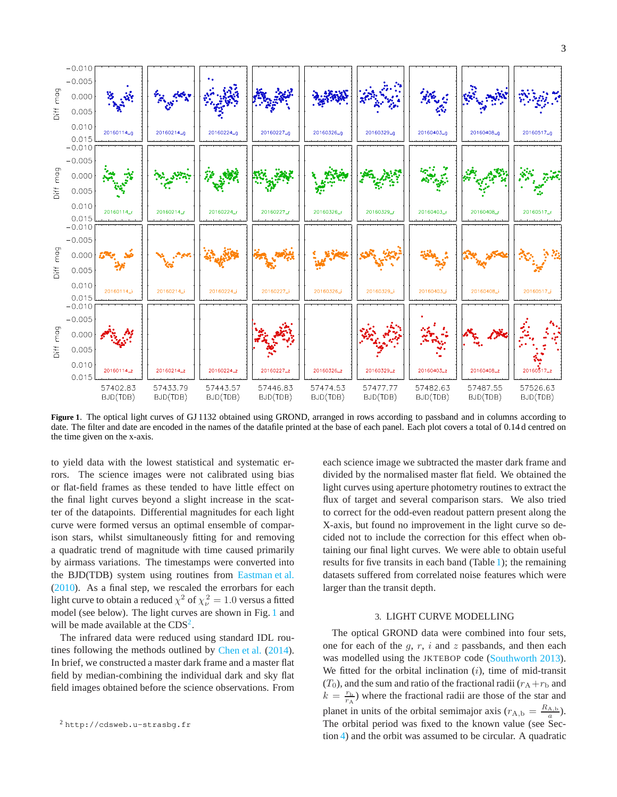

<span id="page-2-0"></span>**Figure 1**. The optical light curves of GJ 1132 obtained using GROND, arranged in rows according to passband and in columns according to date. The filter and date are encoded in the names of the datafile printed at the base of each panel. Each plot covers a total of 0.14 d centred on the time given on the x-axis.

to yield data with the lowest statistical and systematic errors. The science images were not calibrated using bias or flat-field frames as these tended to have little effect on the final light curves beyond a slight increase in the scatter of the datapoints. Differential magnitudes for each light curve were formed versus an optimal ensemble of comparison stars, whilst simultaneously fitting for and removing a quadratic trend of magnitude with time caused primarily by airmass variations. The timestamps were converted into the BJD(TDB) system using routines from [Eastman et al.](#page-12-37) [\(2010](#page-12-37)). As a final step, we rescaled the errorbars for each light curve to obtain a reduced  $\chi^2$  of  $\chi^2_\nu = 1.0$  versus a fitted model (see below). The light curves are shown in Fig. [1](#page-2-0) and will be made available at the  $CDS<sup>2</sup>$  $CDS<sup>2</sup>$  $CDS<sup>2</sup>$ .

The infrared data were reduced using standard IDL rou-tines following the methods outlined by [Chen et al.](#page-12-38) [\(2014\)](#page-12-38). In brief, we constructed a master dark frame and a master flat field by median-combining the individual dark and sky flat field images obtained before the science observations. From each science image we subtracted the master dark frame and divided by the normalised master flat field. We obtained the light curves using aperture photometry routines to extract the flux of target and several comparison stars. We also tried to correct for the odd-even readout pattern present along the X-axis, but found no improvement in the light curve so decided not to include the correction for this effect when obtaining our final light curves. We were able to obtain useful results for five transits in each band (Table [1\)](#page-1-0); the remaining datasets suffered from correlated noise features which were larger than the transit depth.

#### 3. LIGHT CURVE MODELLING

<span id="page-2-2"></span>The optical GROND data were combined into four sets, one for each of the  $g, r, i$  and  $z$  passbands, and then each was modelled using the JKTEBOP code [\(Southworth 2013](#page-12-39)). We fitted for the orbital inclination  $(i)$ , time of mid-transit  $(T_0)$ , and the sum and ratio of the fractional radii  $(r_A + r_b$  and  $k = \frac{r_b}{r_A}$ ) where the fractional radii are those of the star and planet in units of the orbital semimajor axis  $(r_{A,b} = \frac{R_{A,b}}{a})$ . The orbital period was fixed to the known value (see Section [4\)](#page-3-0) and the orbit was assumed to be circular. A quadratic

<span id="page-2-1"></span><sup>2</sup> http://cdsweb.u-strasbg.fr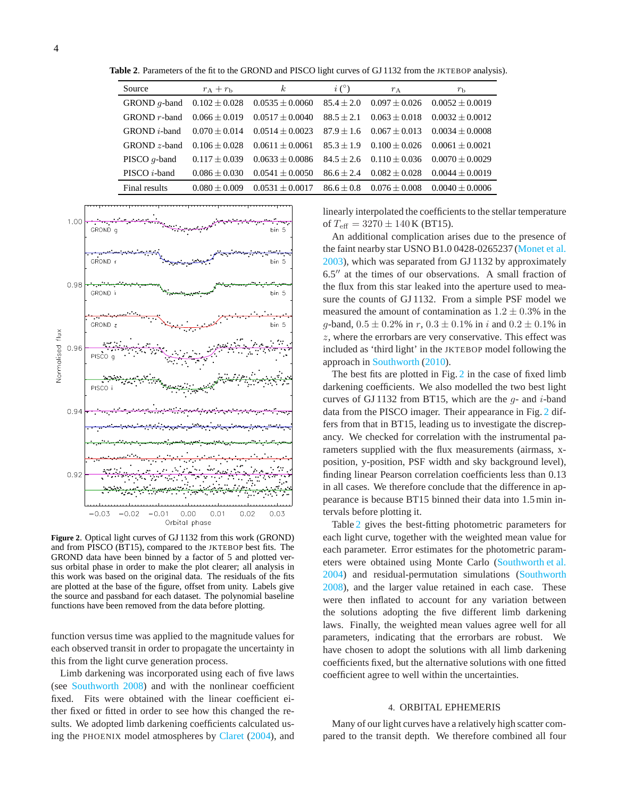**Table 2**. Parameters of the fit to the GROND and PISCO light curves of GJ 1132 from the JKTEBOP analysis).

<span id="page-3-2"></span>

| Source                 | $r_A+r_b$         | $\kappa$            | i(°)         | $r_A$             | $r_{\rm b}$         |
|------------------------|-------------------|---------------------|--------------|-------------------|---------------------|
| GROND $q$ -band        | $0.102 \pm 0.028$ | $0.0535 \pm 0.0060$ | $85.4 + 2.0$ | $0.097 + 0.026$   | $0.0052 \pm 0.0019$ |
| $GROND r$ -band        | $0.066 + 0.019$   | $0.0517 + 0.0040$   | $88.5 + 2.1$ | $0.063 + 0.018$   | $0.0032 + 0.0012$   |
| $GROND$ <i>i</i> -band | $0.070 + 0.014$   | $0.0514 + 0.0023$   | $87.9 + 1.6$ | $0.067 + 0.013$   | $0.0034 + 0.0008$   |
| $GROND z-band$         | $0.106 + 0.028$   | $0.0611 + 0.0061$   | $85.3 + 1.9$ | $0.100 + 0.026$   | $0.0061 + 0.0021$   |
| PISCO $q$ -band        | $0.117 + 0.039$   | $0.0633 \pm 0.0086$ | $84.5 + 2.6$ | $0.110 + 0.036$   | $0.0070 \pm 0.0029$ |
| PISCO $i$ -band        | $0.086 + 0.030$   | $0.0541 + 0.0050$   | $86.6 + 2.4$ | $0.082 \pm 0.028$ | $0.0044 \pm 0.0019$ |
| Final results          | $0.080 \pm 0.009$ | $0.0531 + 0.0017$   | $86.6 + 0.8$ | $0.076 + 0.008$   | $0.0040 \pm 0.0006$ |



<span id="page-3-1"></span>**Figure 2**. Optical light curves of GJ 1132 from this work (GROND) and from PISCO (BT15), compared to the JKTEBOP best fits. The GROND data have been binned by a factor of 5 and plotted versus orbital phase in order to make the plot clearer; all analysis in this work was based on the original data. The residuals of the fits are plotted at the base of the figure, offset from unity. Labels give the source and passband for each dataset. The polynomial baseline functions have been removed from the data before plotting.

function versus time was applied to the magnitude values for each observed transit in order to propagate the uncertainty in this from the light curve generation process.

Limb darkening was incorporated using each of five laws (see [Southworth 2008](#page-12-40)) and with the nonlinear coefficient fixed. Fits were obtained with the linear coefficient either fixed or fitted in order to see how this changed the results. We adopted limb darkening coefficients calculated using the PHOENIX model atmospheres by [Claret](#page-12-41) [\(2004\)](#page-12-41), and linearly interpolated the coefficients to the stellar temperature of  $T_{\text{eff}} = 3270 \pm 140 \,\text{K}$  (BT15).

An additional complication arises due to the presence of the faint nearby star USNO B1.0 0428-0265237 [\(Monet et al.](#page-12-42) [2003\)](#page-12-42), which was separated from GJ 1132 by approximately 6.5′′ at the times of our observations. A small fraction of the flux from this star leaked into the aperture used to measure the counts of GJ 1132. From a simple PSF model we measured the amount of contamination as  $1.2 \pm 0.3\%$  in the q-band,  $0.5 \pm 0.2\%$  in r,  $0.3 \pm 0.1\%$  in i and  $0.2 \pm 0.1\%$  in z, where the errorbars are very conservative. This effect was included as 'third light' in the JKTEBOP model following the approach in [Southworth](#page-12-43) [\(2010\)](#page-12-43).

The best fits are plotted in Fig. [2](#page-3-1) in the case of fixed limb darkening coefficients. We also modelled the two best light curves of GJ 1132 from BT15, which are the  $q$ - and i-band data from the PISCO imager. Their appearance in Fig. [2](#page-3-1) differs from that in BT15, leading us to investigate the discrepancy. We checked for correlation with the instrumental parameters supplied with the flux measurements (airmass, xposition, y-position, PSF width and sky background level), finding linear Pearson correlation coefficients less than 0.13 in all cases. We therefore conclude that the difference in appearance is because BT15 binned their data into 1.5 min intervals before plotting it.

Table [2](#page-3-2) gives the best-fitting photometric parameters for each light curve, together with the weighted mean value for each parameter. Error estimates for the photometric parameters were obtained using Monte Carlo [\(Southworth et al.](#page-12-44) [2004\)](#page-12-44) and residual-permutation simulations [\(Southworth](#page-12-40) [2008\)](#page-12-40), and the larger value retained in each case. These were then inflated to account for any variation between the solutions adopting the five different limb darkening laws. Finally, the weighted mean values agree well for all parameters, indicating that the errorbars are robust. We have chosen to adopt the solutions with all limb darkening coefficients fixed, but the alternative solutions with one fitted coefficient agree to well within the uncertainties.

#### 4. ORBITAL EPHEMERIS

<span id="page-3-0"></span>Many of our light curves have a relatively high scatter compared to the transit depth. We therefore combined all four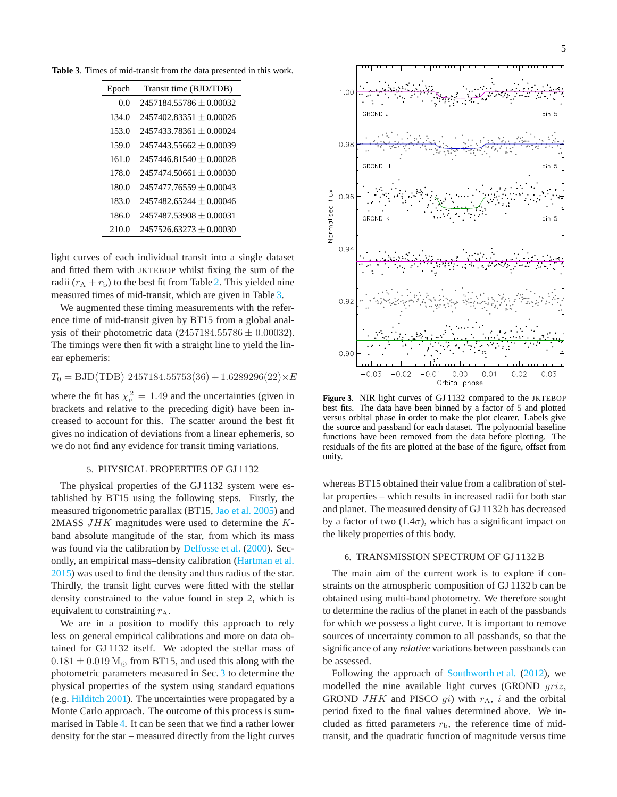**Table 3**. Times of mid-transit from the data presented in this work.

<span id="page-4-0"></span>

| Epoch | Transit time (BJD/TDB)      |
|-------|-----------------------------|
| 0.0   | $2457184.55786 + 0.00032$   |
| 134.0 | $2457402.83351 + 0.00026$   |
| 153.0 | $2457433.78361 + 0.00024$   |
| 159.0 | $2457443.55662 + 0.00039$   |
| 161.0 | $2457446.81540 + 0.00028$   |
| 178.0 | $2457474.50661 + 0.00030$   |
| 180.0 | $2457477.76559 + 0.00043$   |
| 183.0 | $2457482.65244 + 0.00046$   |
| 186.0 | $2457487.53908 + 0.00031$   |
| 210.0 | $2457526.63273 \pm 0.00030$ |

light curves of each individual transit into a single dataset and fitted them with JKTEBOP whilst fixing the sum of the radii  $(r_A + r_b)$  to the best fit from Table [2.](#page-3-2) This yielded nine measured times of mid-transit, which are given in Table [3.](#page-4-0)

We augmented these timing measurements with the reference time of mid-transit given by BT15 from a global analysis of their photometric data  $(2457184.55786 \pm 0.00032)$ . The timings were then fit with a straight line to yield the linear ephemeris:

 $T_0 = \text{BJD}(\text{TDB})$  2457184.55753(36) + 1.6289296(22) $\times E$ 

where the fit has  $\chi^2_{\nu} = 1.49$  and the uncertainties (given in brackets and relative to the preceding digit) have been increased to account for this. The scatter around the best fit gives no indication of deviations from a linear ephemeris, so we do not find any evidence for transit timing variations.

# 5. PHYSICAL PROPERTIES OF GJ 1132

<span id="page-4-2"></span>The physical properties of the GJ 1132 system were established by BT15 using the following steps. Firstly, the measured trigonometric parallax (BT15, [Jao et al. 2005\)](#page-12-10) and 2MASS  $JHK$  magnitudes were used to determine the  $K$ band absolute mangitude of the star, from which its mass was found via the calibration by [Delfosse et al.](#page-12-45) [\(2000\)](#page-12-45). Secondly, an empirical mass–density calibration [\(Hartman et al.](#page-12-46) [2015\)](#page-12-46) was used to find the density and thus radius of the star. Thirdly, the transit light curves were fitted with the stellar density constrained to the value found in step 2, which is equivalent to constraining  $r_A$ .

We are in a position to modify this approach to rely less on general empirical calibrations and more on data obtained for GJ 1132 itself. We adopted the stellar mass of  $0.181 \pm 0.019$  M<sub> $\odot$ </sub> from BT15, and used this along with the photometric parameters measured in Sec. [3](#page-2-2) to determine the physical properties of the system using standard equations (e.g. [Hilditch 2001](#page-12-47)). The uncertainties were propagated by a Monte Carlo approach. The outcome of this process is summarised in Table [4.](#page-5-0) It can be seen that we find a rather lower density for the star – measured directly from the light curves



<span id="page-4-1"></span>**Figure 3**. NIR light curves of GJ 1132 compared to the JKTEBOP best fits. The data have been binned by a factor of 5 and plotted versus orbital phase in order to make the plot clearer. Labels give the source and passband for each dataset. The polynomial baseline functions have been removed from the data before plotting. The residuals of the fits are plotted at the base of the figure, offset from unity.

whereas BT15 obtained their value from a calibration of stellar properties – which results in increased radii for both star and planet. The measured density of GJ 1132 b has decreased by a factor of two (1.4 $\sigma$ ), which has a significant impact on the likely properties of this body.

#### 6. TRANSMISSION SPECTRUM OF GJ 1132 B

The main aim of the current work is to explore if constraints on the atmospheric composition of GJ 1132 b can be obtained using multi-band photometry. We therefore sought to determine the radius of the planet in each of the passbands for which we possess a light curve. It is important to remove sources of uncertainty common to all passbands, so that the significance of any *relative* variations between passbands can be assessed.

Following the approach of [Southworth et al.](#page-12-48) [\(2012\)](#page-12-48), we modelled the nine available light curves (GROND griz, GROND JHK and PISCO  $gi$ ) with  $r_A$ , i and the orbital period fixed to the final values determined above. We included as fitted parameters  $r<sub>b</sub>$ , the reference time of midtransit, and the quadratic function of magnitude versus time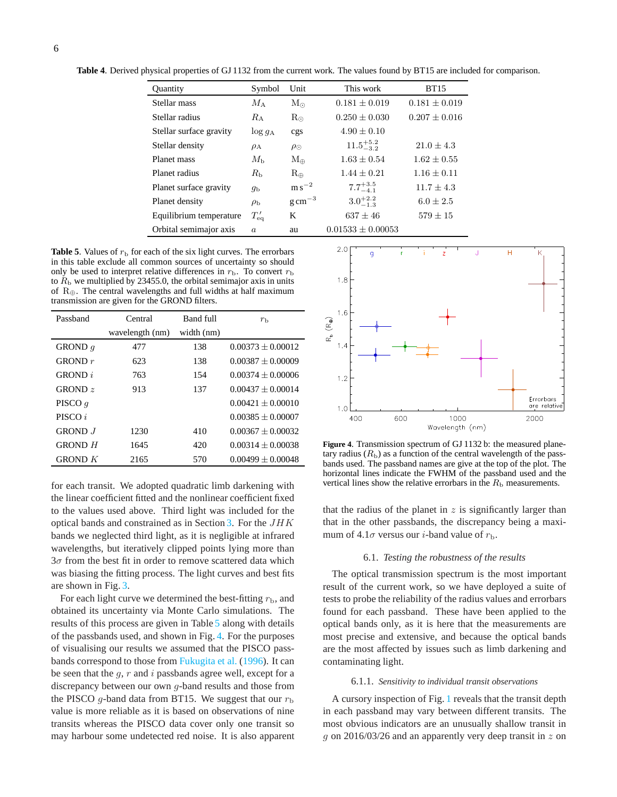<span id="page-5-0"></span>**Table 4**. Derived physical properties of GJ 1132 from the current work. The values found by BT15 are included for comparison.

| <b>Ouantity</b>         | Symbol           | Unit                 | This work             | <b>BT15</b>       |
|-------------------------|------------------|----------------------|-----------------------|-------------------|
| Stellar mass            | $M_{\rm A}$      | $M_{\odot}$          | $0.181 \pm 0.019$     | $0.181 \pm 0.019$ |
| Stellar radius          | $R_{\rm A}$      | $R_{\odot}$          | $0.250 + 0.030$       | $0.207 \pm 0.016$ |
| Stellar surface gravity | $\log g_A$       | cgs                  | $4.90 + 0.10$         |                   |
| Stellar density         | $\rho_A$         | $\rho_{\odot}$       | $11.5^{+5.2}_{-3.2}$  | $21.0 \pm 4.3$    |
| Planet mass             | $M_{\rm h}$      | $M_{\oplus}$         | $1.63 \pm 0.54$       | $1.62 \pm 0.55$   |
| Planet radius           | $R_{\rm b}$      | $R_{\oplus}$         | $1.44 + 0.21$         | $1.16 + 0.11$     |
| Planet surface gravity  | $q_{\rm b}$      | $\mathrm{m\,s}^{-2}$ | $7.7^{+3.5}_{-4.1}$   | $11.7 + 4.3$      |
| Planet density          | $\rho_{\rm b}$   | $\rm g\,cm^{-3}$     | $3.0^{+2.2}_{-1.3}$   | $6.0 + 2.5$       |
| Equilibrium temperature | $T'_{\rm eq}$    | K                    | $637 + 46$            | $579 + 15$        |
| Orbital semimajor axis  | $\boldsymbol{a}$ | au                   | $0.01533 \pm 0.00053$ |                   |

<span id="page-5-1"></span>**Table 5**. Values of  $r<sub>b</sub>$  for each of the six light curves. The errorbars in this table exclude all common sources of uncertainty so should only be used to interpret relative differences in  $r<sub>b</sub>$ . To convert  $r<sub>b</sub>$ to  $R<sub>b</sub>$  we multiplied by 23455.0, the orbital semimajor axis in units of  $R_{\oplus}$ . The central wavelengths and full widths at half maximum transmission are given for the GROND filters.

| Passband       | Central         | Band full  | $r_{\rm b}$         |
|----------------|-----------------|------------|---------------------|
|                | wavelength (nm) | width (nm) |                     |
| GROND $q$      | 477             | 138        | $0.00373 + 0.00012$ |
| GROND $r$      | 623             | 138        | $0.00387 + 0.00009$ |
| GROND i        | 763             | 154        | $0.00374 + 0.00006$ |
| GROND $z$      | 913             | 137        | $0.00437 + 0.00014$ |
| PISCO $q$      |                 |            | $0.00421 + 0.00010$ |
| PISCO i        |                 |            | $0.00385 + 0.00007$ |
| <b>GROND</b> J | 1230            | 410        | $0.00367 + 0.00032$ |
| $G$ ROND $H$   | 1645            | 420        | $0.00314 + 0.00038$ |
| GROND $K$      | 2165            | 570        | $0.00499 + 0.00048$ |

for each transit. We adopted quadratic limb darkening with the linear coefficient fitted and the nonlinear coefficient fixed to the values used above. Third light was included for the optical bands and constrained as in Section [3.](#page-2-2) For the  $JHK$ bands we neglected third light, as it is negligible at infrared wavelengths, but iteratively clipped points lying more than  $3\sigma$  from the best fit in order to remove scattered data which was biasing the fitting process. The light curves and best fits are shown in Fig. [3.](#page-4-1)

For each light curve we determined the best-fitting  $r<sub>b</sub>$ , and obtained its uncertainty via Monte Carlo simulations. The results of this process are given in Table [5](#page-5-1) along with details of the passbands used, and shown in Fig. [4.](#page-5-2) For the purposes of visualising our results we assumed that the PISCO pass-bands correspond to those from [Fukugita et al.](#page-12-34) [\(1996](#page-12-34)). It can be seen that the  $g, r$  and  $i$  passbands agree well, except for a discrepancy between our own  $g$ -band results and those from the PISCO g-band data from BT15. We suggest that our  $r<sub>b</sub>$ value is more reliable as it is based on observations of nine transits whereas the PISCO data cover only one transit so may harbour some undetected red noise. It is also apparent



<span id="page-5-2"></span>**Figure 4**. Transmission spectrum of GJ 1132 b: the measured planetary radius  $(R<sub>b</sub>)$  as a function of the central wavelength of the passbands used. The passband names are give at the top of the plot. The horizontal lines indicate the FWHM of the passband used and the vertical lines show the relative errorbars in the  $R<sub>b</sub>$  measurements.

that the radius of the planet in  $z$  is significantly larger than that in the other passbands, the discrepancy being a maximum of 4.1 $\sigma$  versus our *i*-band value of  $r_{\rm b}$ .

# 6.1. *Testing the robustness of the results*

The optical transmission spectrum is the most important result of the current work, so we have deployed a suite of tests to probe the reliability of the radius values and errorbars found for each passband. These have been applied to the optical bands only, as it is here that the measurements are most precise and extensive, and because the optical bands are the most affected by issues such as limb darkening and contaminating light.

#### 6.1.1. *Sensitivity to individual transit observations*

A cursory inspection of Fig. [1](#page-2-0) reveals that the transit depth in each passband may vary between different transits. The most obvious indicators are an unusually shallow transit in g on 2016/03/26 and an apparently very deep transit in  $z$  on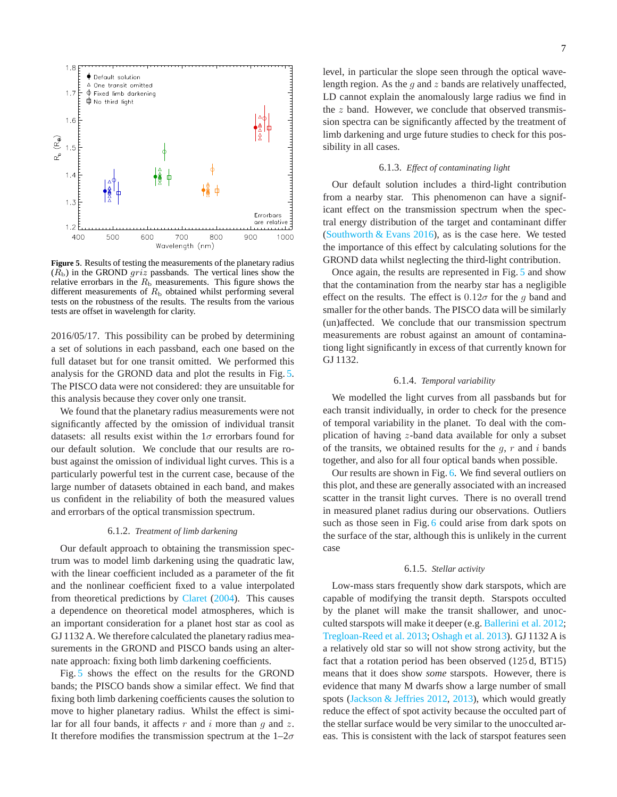

<span id="page-6-0"></span>**Figure 5**. Results of testing the measurements of the planetary radius  $(R<sub>b</sub>)$  in the GROND *griz* passbands. The vertical lines show the relative errorbars in the  $R<sub>b</sub>$  measurements. This figure shows the different measurements of  $R<sub>b</sub>$  obtained whilst performing several tests on the robustness of the results. The results from the various tests are offset in wavelength for clarity.

2016/05/17. This possibility can be probed by determining a set of solutions in each passband, each one based on the full dataset but for one transit omitted. We performed this analysis for the GROND data and plot the results in Fig. [5.](#page-6-0) The PISCO data were not considered: they are unsuitable for this analysis because they cover only one transit.

We found that the planetary radius measurements were not significantly affected by the omission of individual transit datasets: all results exist within the  $1\sigma$  errorbars found for our default solution. We conclude that our results are robust against the omission of individual light curves. This is a particularly powerful test in the current case, because of the large number of datasets obtained in each band, and makes us confident in the reliability of both the measured values and errorbars of the optical transmission spectrum.

# 6.1.2. *Treatment of limb darkening*

Our default approach to obtaining the transmission spectrum was to model limb darkening using the quadratic law, with the linear coefficient included as a parameter of the fit and the nonlinear coefficient fixed to a value interpolated from theoretical predictions by [Claret](#page-12-41) [\(2004\)](#page-12-41). This causes a dependence on theoretical model atmospheres, which is an important consideration for a planet host star as cool as GJ 1132 A. We therefore calculated the planetary radius measurements in the GROND and PISCO bands using an alternate approach: fixing both limb darkening coefficients.

Fig. [5](#page-6-0) shows the effect on the results for the GROND bands; the PISCO bands show a similar effect. We find that fixing both limb darkening coefficients causes the solution to move to higher planetary radius. Whilst the effect is similar for all four bands, it affects  $r$  and  $i$  more than  $g$  and  $z$ . It therefore modifies the transmission spectrum at the  $1-2\sigma$ 

level, in particular the slope seen through the optical wavelength region. As the q and z bands are relatively unaffected, LD cannot explain the anomalously large radius we find in the  $z$  band. However, we conclude that observed transmission spectra can be significantly affected by the treatment of limb darkening and urge future studies to check for this possibility in all cases.

#### 6.1.3. *Effect of contaminating light*

Our default solution includes a third-light contribution from a nearby star. This phenomenon can have a significant effect on the transmission spectrum when the spectral energy distribution of the target and contaminant differ (Southworth  $& Evans\ 2016$ ), as is the case here. We tested the importance of this effect by calculating solutions for the GROND data whilst neglecting the third-light contribution.

Once again, the results are represented in Fig. [5](#page-6-0) and show that the contamination from the nearby star has a negligible effect on the results. The effect is  $0.12\sigma$  for the g band and smaller for the other bands. The PISCO data will be similarly (un)affected. We conclude that our transmission spectrum measurements are robust against an amount of contaminationg light significantly in excess of that currently known for GJ 1132.

# 6.1.4. *Temporal variability*

We modelled the light curves from all passbands but for each transit individually, in order to check for the presence of temporal variability in the planet. To deal with the complication of having z-band data available for only a subset of the transits, we obtained results for the  $g, r$  and i bands together, and also for all four optical bands when possible.

Our results are shown in Fig. [6.](#page-7-0) We find several outliers on this plot, and these are generally associated with an increased scatter in the transit light curves. There is no overall trend in measured planet radius during our observations. Outliers such as those seen in Fig. [6](#page-7-0) could arise from dark spots on the surface of the star, although this is unlikely in the current case

#### 6.1.5. *Stellar activity*

Low-mass stars frequently show dark starspots, which are capable of modifying the transit depth. Starspots occulted by the planet will make the transit shallower, and unocculted starspots will make it deeper (e.g. [Ballerini et al. 2012](#page-12-50); [Tregloan-Reed et al. 2013;](#page-12-51) [Oshagh et al. 2013\)](#page-12-52). GJ 1132 A is a relatively old star so will not show strong activity, but the fact that a rotation period has been observed (125 d, BT15) means that it does show *some* starspots. However, there is evidence that many M dwarfs show a large number of small spots [\(Jackson & Jeffries 2012](#page-12-53), [2013\)](#page-12-54), which would greatly reduce the effect of spot activity because the occulted part of the stellar surface would be very similar to the unocculted areas. This is consistent with the lack of starspot features seen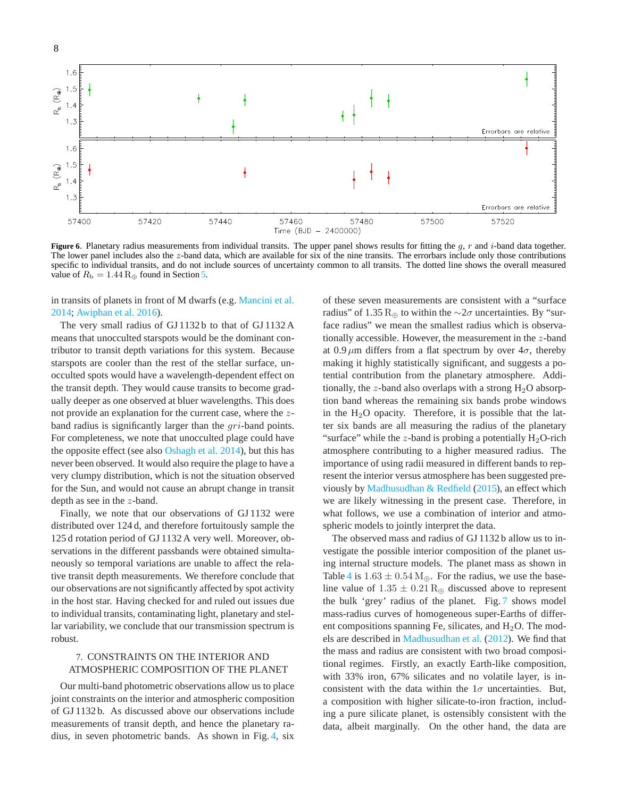8



<span id="page-7-0"></span>Figure 6. Planetary radius measurements from individual transits. The upper panel shows results for fitting the g, r and i-band data together. The lower panel includes also the z-band data, which are available for six of the nine transits. The errorbars include only those contributions specific to individual transits, and do not include sources of uncertainty common to all transits. The dotted line shows the overall measured value of  $R_{\rm b} = 1.44$  R<sub>⊕</sub> found in Section [5.](#page-4-2)

in transits of planets in front of M dwarfs (e.g. [Mancini et al.](#page-12-55) [2014;](#page-12-55) [Awiphan et al. 2016\)](#page-12-56).

The very small radius of GJ 1132 b to that of GJ 1132 A means that unocculted starspots would be the dominant contributor to transit depth variations for this system. Because starspots are cooler than the rest of the stellar surface, unocculted spots would have a wavelength-dependent effect on the transit depth. They would cause transits to become gradually deeper as one observed at bluer wavelengths. This does not provide an explanation for the current case, where the zband radius is significantly larger than the gri-band points. For completeness, we note that unocculted plage could have the opposite effect (see also [Oshagh et al. 2014\)](#page-12-57), but this has never been observed. It would also require the plage to have a very clumpy distribution, which is not the situation observed for the Sun, and would not cause an abrupt change in transit depth as see in the z-band.

Finally, we note that our observations of GJ 1132 were distributed over 124 d, and therefore fortuitously sample the 125 d rotation period of GJ 1132 A very well. Moreover, observations in the different passbands were obtained simultaneously so temporal variations are unable to affect the relative transit depth measurements. We therefore conclude that our observations are not significantly affected by spot activity in the host star. Having checked for and ruled out issues due to individual transits, contaminating light, planetary and stellar variability, we conclude that our transmission spectrum is robust.

# 7. CONSTRAINTS ON THE INTERIOR AND ATMOSPHERIC COMPOSITION OF THE PLANET

Our multi-band photometric observations allow us to place joint constraints on the interior and atmospheric composition of GJ 1132 b. As discussed above our observations include measurements of transit depth, and hence the planetary radius, in seven photometric bands. As shown in Fig. [4,](#page-5-2) six

of these seven measurements are consistent with a "surface radius" of 1.35 R<sub>⊕</sub> to within the  $\sim$ 2 $\sigma$  uncertainties. By "surface radius" we mean the smallest radius which is observationally accessible. However, the measurement in the z-band at 0.9  $\mu$ m differs from a flat spectrum by over  $4\sigma$ , thereby making it highly statistically significant, and suggests a potential contribution from the planetary atmosphere. Additionally, the z-band also overlaps with a strong  $H_2O$  absorption band whereas the remaining six bands probe windows in the  $H_2O$  opacity. Therefore, it is possible that the latter six bands are all measuring the radius of the planetary "surface" while the z-band is probing a potentially  $H_2O$ -rich atmosphere contributing to a higher measured radius. The importance of using radii measured in different bands to represent the interior versus atmosphere has been suggested previously by [Madhusudhan & Redfield](#page-12-58) [\(2015\)](#page-12-58), an effect which we are likely witnessing in the present case. Therefore, in what follows, we use a combination of interior and atmospheric models to jointly interpret the data.

The observed mass and radius of GJ 1132 b allow us to investigate the possible interior composition of the planet using internal structure models. The planet mass as shown in Table [4](#page-5-0) is  $1.63 \pm 0.54$  M<sub>⊕</sub>. For the radius, we use the baseline value of  $1.35 \pm 0.21$  R<sub>⊕</sub> discussed above to represent the bulk 'grey' radius of the planet. Fig. [7](#page-8-0) shows model mass-radius curves of homogeneous super-Earths of different compositions spanning Fe, silicates, and  $H_2O$ . The models are described in [Madhusudhan et al.](#page-12-59) [\(2012](#page-12-59)). We find that the mass and radius are consistent with two broad compositional regimes. Firstly, an exactly Earth-like composition, with 33% iron, 67% silicates and no volatile layer, is inconsistent with the data within the  $1\sigma$  uncertainties. But, a composition with higher silicate-to-iron fraction, including a pure silicate planet, is ostensibly consistent with the data, albeit marginally. On the other hand, the data are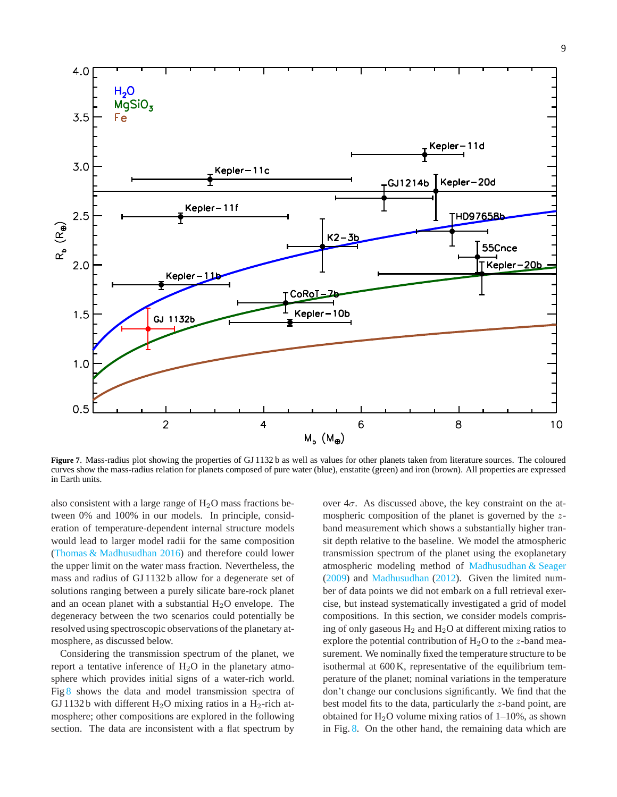

<span id="page-8-0"></span>**Figure 7**. Mass-radius plot showing the properties of GJ 1132 b as well as values for other planets taken from literature sources. The coloured curves show the mass-radius relation for planets composed of pure water (blue), enstatite (green) and iron (brown). All properties are expressed in Earth units.

also consistent with a large range of  $H_2O$  mass fractions between 0% and 100% in our models. In principle, consideration of temperature-dependent internal structure models would lead to larger model radii for the same composition [\(Thomas & Madhusudhan 2016](#page-12-60)) and therefore could lower the upper limit on the water mass fraction. Nevertheless, the mass and radius of GJ 1132 b allow for a degenerate set of solutions ranging between a purely silicate bare-rock planet and an ocean planet with a substantial  $H_2O$  envelope. The degeneracy between the two scenarios could potentially be resolved using spectroscopic observations of the planetary atmosphere, as discussed below.

Considering the transmission spectrum of the planet, we report a tentative inference of  $H_2O$  in the planetary atmosphere which provides initial signs of a water-rich world. Fig [8](#page-9-0) shows the data and model transmission spectra of GJ 1132 b with different  $H_2O$  mixing ratios in a  $H_2$ -rich atmosphere; other compositions are explored in the following section. The data are inconsistent with a flat spectrum by

over  $4\sigma$ . As discussed above, the key constraint on the atmospheric composition of the planet is governed by the zband measurement which shows a substantially higher transit depth relative to the baseline. We model the atmospheric transmission spectrum of the planet using the exoplanetary atmospheric modeling method of [Madhusudhan & Seager](#page-12-61) [\(2009\)](#page-12-61) and [Madhusudhan](#page-12-62) [\(2012\)](#page-12-62). Given the limited number of data points we did not embark on a full retrieval exercise, but instead systematically investigated a grid of model compositions. In this section, we consider models comprising of only gaseous  $H_2$  and  $H_2O$  at different mixing ratios to explore the potential contribution of  $H_2O$  to the *z*-band measurement. We nominally fixed the temperature structure to be isothermal at 600 K, representative of the equilibrium temperature of the planet; nominal variations in the temperature don't change our conclusions significantly. We find that the best model fits to the data, particularly the z-band point, are obtained for  $H_2O$  volume mixing ratios of 1–10%, as shown in Fig. [8.](#page-9-0) On the other hand, the remaining data which are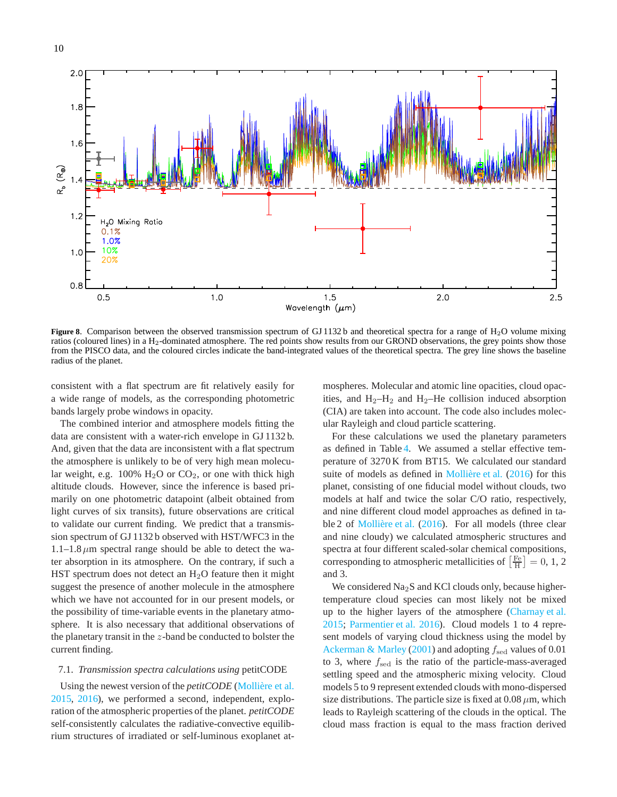

<span id="page-9-0"></span>Figure 8. Comparison between the observed transmission spectrum of GJ 1132 b and theoretical spectra for a range of H<sub>2</sub>O volume mixing ratios (coloured lines) in a H<sub>2</sub>-dominated atmosphere. The red points show results from our GROND observations, the grey points show those from the PISCO data, and the coloured circles indicate the band-integrated values of the theoretical spectra. The grey line shows the baseline radius of the planet.

consistent with a flat spectrum are fit relatively easily for a wide range of models, as the corresponding photometric bands largely probe windows in opacity.

The combined interior and atmosphere models fitting the data are consistent with a water-rich envelope in GJ 1132 b. And, given that the data are inconsistent with a flat spectrum the atmosphere is unlikely to be of very high mean molecular weight, e.g.  $100\%$  H<sub>2</sub>O or CO<sub>2</sub>, or one with thick high altitude clouds. However, since the inference is based primarily on one photometric datapoint (albeit obtained from light curves of six transits), future observations are critical to validate our current finding. We predict that a transmission spectrum of GJ 1132 b observed with HST/WFC3 in the  $1.1-1.8 \mu m$  spectral range should be able to detect the water absorption in its atmosphere. On the contrary, if such a HST spectrum does not detect an  $H_2O$  feature then it might suggest the presence of another molecule in the atmosphere which we have not accounted for in our present models, or the possibility of time-variable events in the planetary atmosphere. It is also necessary that additional observations of the planetary transit in the z-band be conducted to bolster the current finding.

# 7.1. *Transmission spectra calculations using* petitCODE

Using the newest version of the *petitCODE* (Mollière et al. [2015,](#page-12-63) [2016](#page-12-64)), we performed a second, independent, exploration of the atmospheric properties of the planet. *petitCODE* self-consistently calculates the radiative-convective equilibrium structures of irradiated or self-luminous exoplanet atmospheres. Molecular and atomic line opacities, cloud opacities, and  $H_2-H_2$  and  $H_2-He$  collision induced absorption (CIA) are taken into account. The code also includes molecular Rayleigh and cloud particle scattering.

For these calculations we used the planetary parameters as defined in Table [4.](#page-5-0) We assumed a stellar effective temperature of 3270 K from BT15. We calculated our standard suite of models as defined in Mollière et al.  $(2016)$  for this planet, consisting of one fiducial model without clouds, two models at half and twice the solar C/O ratio, respectively, and nine different cloud model approaches as defined in ta-ble 2 of Mollière et al. [\(2016\)](#page-12-64). For all models (three clear and nine cloudy) we calculated atmospheric structures and spectra at four different scaled-solar chemical compositions, corresponding to atmospheric metallicities of  $\left[\frac{\text{Fe}}{\text{H}}\right] = 0, 1, 2$ and 3.

We considered Na<sub>2</sub>S and KCl clouds only, because highertemperature cloud species can most likely not be mixed up to the higher layers of the atmosphere [\(Charnay et al.](#page-12-65) [2015;](#page-12-65) [Parmentier et al. 2016](#page-12-66)). Cloud models 1 to 4 represent models of varying cloud thickness using the model by [Ackerman & Marley](#page-11-1) [\(2001\)](#page-11-1) and adopting  $f_{\text{sed}}$  values of 0.01 to 3, where  $f_{\text{sed}}$  is the ratio of the particle-mass-averaged settling speed and the atmospheric mixing velocity. Cloud models 5 to 9 represent extended clouds with mono-dispersed size distributions. The particle size is fixed at  $0.08 \mu m$ , which leads to Rayleigh scattering of the clouds in the optical. The cloud mass fraction is equal to the mass fraction derived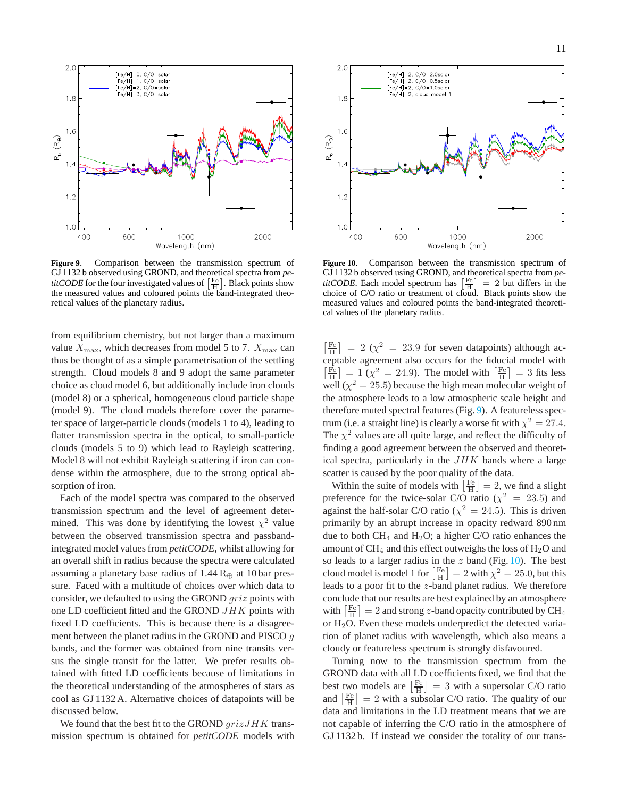

<span id="page-10-0"></span>**Figure 9**. Comparison between the transmission spectrum of GJ 1132 b observed using GROND, and theoretical spectra from *petitCODE* for the four investigated values of  $\left[\frac{Fe}{H}\right]$ . Black points show the measured values and coloured points the band-integrated theoretical values of the planetary radius.

from equilibrium chemistry, but not larger than a maximum value  $X_{\text{max}}$ , which decreases from model 5 to 7.  $X_{\text{max}}$  can thus be thought of as a simple parametrisation of the settling strength. Cloud models 8 and 9 adopt the same parameter choice as cloud model 6, but additionally include iron clouds (model 8) or a spherical, homogeneous cloud particle shape (model 9). The cloud models therefore cover the parameter space of larger-particle clouds (models 1 to 4), leading to flatter transmission spectra in the optical, to small-particle clouds (models 5 to 9) which lead to Rayleigh scattering. Model 8 will not exhibit Rayleigh scattering if iron can condense within the atmosphere, due to the strong optical absorption of iron.

Each of the model spectra was compared to the observed transmission spectrum and the level of agreement determined. This was done by identifying the lowest  $\chi^2$  value between the observed transmission spectra and passbandintegrated model values from *petitCODE*, whilst allowing for an overall shift in radius because the spectra were calculated assuming a planetary base radius of  $1.44 \,R_\oplus$  at 10 bar pressure. Faced with a multitude of choices over which data to consider, we defaulted to using the GROND griz points with one LD coefficient fitted and the GROND JHK points with fixed LD coefficients. This is because there is a disagreement between the planet radius in the GROND and PISCO g bands, and the former was obtained from nine transits versus the single transit for the latter. We prefer results obtained with fitted LD coefficients because of limitations in the theoretical understanding of the atmospheres of stars as cool as GJ 1132 A. Alternative choices of datapoints will be discussed below.

We found that the best fit to the GROND  $grizJHK$  transmission spectrum is obtained for *petitCODE* models with



<span id="page-10-1"></span>**Figure 10**. Comparison between the transmission spectrum of GJ 1132 b observed using GROND, and theoretical spectra from *petitCODE*. Each model spectrum has  $\left[\frac{Fe}{H}\right] = 2$  but differs in the choice of C/O ratio or treatment of cloud. Black points show the measured values and coloured points the band-integrated theoretical values of the planetary radius.

 $\left[\frac{Fe}{H}\right]$  = 2 ( $\chi^2$  = 23.9 for seven datapoints) although acceptable agreement also occurs for the fiducial model with  $\left[\frac{Fe}{H}\right] = 1 \left(\chi^2 = 24.9\right)$ . The model with  $\left[\frac{Fe}{H}\right] = 3$  fits less well ( $\chi^2 = 25.5$ ) because the high mean molecular weight of the atmosphere leads to a low atmospheric scale height and therefore muted spectral features (Fig. [9\)](#page-10-0). A featureless spectrum (i.e. a straight line) is clearly a worse fit with  $\chi^2 = 27.4$ . The  $\chi^2$  values are all quite large, and reflect the difficulty of finding a good agreement between the observed and theoretical spectra, particularly in the  $JHK$  bands where a large scatter is caused by the poor quality of the data.

Within the suite of models with  $\left[\frac{Fe}{H}\right] = 2$ , we find a slight preference for the twice-solar C/O ratio ( $\chi^2 = 23.5$ ) and against the half-solar C/O ratio ( $\chi^2 = 24.5$ ). This is driven primarily by an abrupt increase in opacity redward 890 nm due to both  $CH_4$  and  $H_2O$ ; a higher C/O ratio enhances the amount of  $CH_4$  and this effect outweighs the loss of  $H_2O$  and so leads to a larger radius in the  $z$  band (Fig. [10\)](#page-10-1). The best cloud model is model 1 for  $\left[\frac{\text{Fe}}{\text{H}}\right] = 2$  with  $\chi^2 = 25.0$ , but this leads to a poor fit to the z-band planet radius. We therefore conclude that our results are best explained by an atmosphere with  $\left[\frac{\text{Fe}}{\text{H}}\right] = 2$  and strong *z*-band opacity contributed by CH<sub>4</sub> or  $H_2O$ . Even these models underpredict the detected variation of planet radius with wavelength, which also means a cloudy or featureless spectrum is strongly disfavoured.

Turning now to the transmission spectrum from the GROND data with all LD coefficients fixed, we find that the best two models are  $\left[\frac{Fe}{H}\right] = 3$  with a supersolar C/O ratio and  $\left[\frac{Fe}{H}\right] = 2$  with a subsolar C/O ratio. The quality of our data and limitations in the LD treatment means that we are not capable of inferring the C/O ratio in the atmosphere of GJ 1132 b. If instead we consider the totality of our trans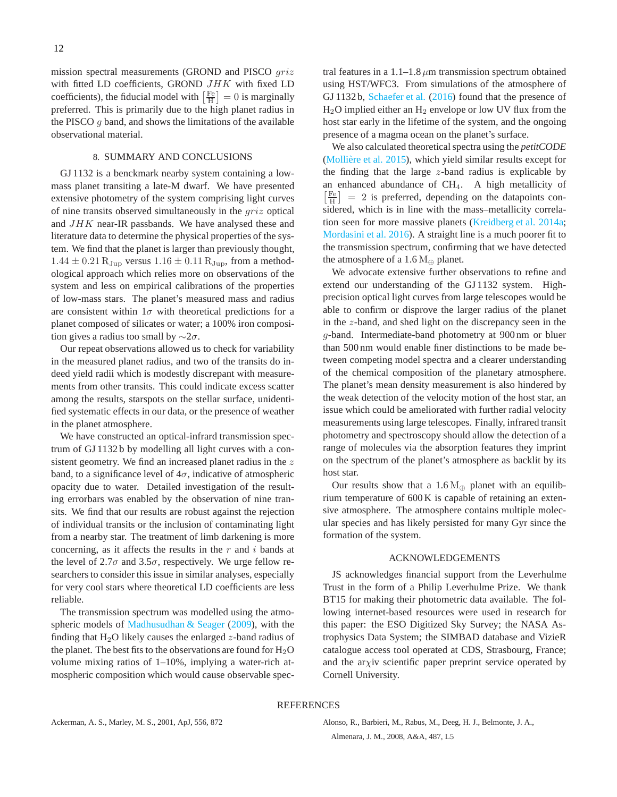mission spectral measurements (GROND and PISCO  $griz$ with fitted LD coefficients, GROND JHK with fixed LD coefficients), the fiducial model with  $\left[\frac{Fe}{H}\right] = 0$  is marginally preferred. This is primarily due to the high planet radius in the PISCO  $g$  band, and shows the limitations of the available observational material.

# 8. SUMMARY AND CONCLUSIONS

GJ 1132 is a benckmark nearby system containing a lowmass planet transiting a late-M dwarf. We have presented extensive photometry of the system comprising light curves of nine transits observed simultaneously in the griz optical and JHK near-IR passbands. We have analysed these and literature data to determine the physical properties of the system. We find that the planet is larger than previously thought,  $1.44 \pm 0.21$  R<sub>Jup</sub> versus  $1.16 \pm 0.11$  R<sub>Jup</sub>, from a methodological approach which relies more on observations of the system and less on empirical calibrations of the properties of low-mass stars. The planet's measured mass and radius are consistent within  $1\sigma$  with theoretical predictions for a planet composed of silicates or water; a 100% iron composition gives a radius too small by  $\sim$ 2 $\sigma$ .

Our repeat observations allowed us to check for variability in the measured planet radius, and two of the transits do indeed yield radii which is modestly discrepant with measurements from other transits. This could indicate excess scatter among the results, starspots on the stellar surface, unidentified systematic effects in our data, or the presence of weather in the planet atmosphere.

We have constructed an optical-infrard transmission spectrum of GJ 1132 b by modelling all light curves with a consistent geometry. We find an increased planet radius in the  $z$ band, to a significance level of  $4\sigma$ , indicative of atmospheric opacity due to water. Detailed investigation of the resulting errorbars was enabled by the observation of nine transits. We find that our results are robust against the rejection of individual transits or the inclusion of contaminating light from a nearby star. The treatment of limb darkening is more concerning, as it affects the results in the  $r$  and  $i$  bands at the level of 2.7 $\sigma$  and 3.5 $\sigma$ , respectively. We urge fellow researchers to consider this issue in similar analyses, especially for very cool stars where theoretical LD coefficients are less reliable.

The transmission spectrum was modelled using the atmo-spheric models of [Madhusudhan & Seager](#page-12-61) [\(2009\)](#page-12-61), with the finding that  $H_2O$  likely causes the enlarged z-band radius of the planet. The best fits to the observations are found for  $H_2O$ volume mixing ratios of 1–10%, implying a water-rich atmospheric composition which would cause observable spectral features in a 1.1–1.8  $\mu$ m transmission spectrum obtained using HST/WFC3. From simulations of the atmosphere of GJ 1132 b, [Schaefer et al.](#page-12-11) [\(2016\)](#page-12-11) found that the presence of  $H<sub>2</sub>O$  implied either an  $H<sub>2</sub>$  envelope or low UV flux from the host star early in the lifetime of the system, and the ongoing presence of a magma ocean on the planet's surface.

We also calculated theoretical spectra using the *petitCODE* (Mollière et al.  $2015$ ), which yield similar results except for the finding that the large  $z$ -band radius is explicable by an enhanced abundance of CH<sub>4</sub>. A high metallicity of  $\left[\frac{Fe}{H}\right] = 2$  is preferred, depending on the datapoints considered, which is in line with the mass–metallicity correlation seen for more massive planets [\(Kreidberg et al. 2014a](#page-12-67); [Mordasini et al. 2016\)](#page-12-68). A straight line is a much poorer fit to the transmission spectrum, confirming that we have detected the atmosphere of a 1.6  $M_{\oplus}$  planet.

We advocate extensive further observations to refine and extend our understanding of the GJ 1132 system. Highprecision optical light curves from large telescopes would be able to confirm or disprove the larger radius of the planet in the z-band, and shed light on the discrepancy seen in the g-band. Intermediate-band photometry at 900 nm or bluer than 500 nm would enable finer distinctions to be made between competing model spectra and a clearer understanding of the chemical composition of the planetary atmosphere. The planet's mean density measurement is also hindered by the weak detection of the velocity motion of the host star, an issue which could be ameliorated with further radial velocity measurements using large telescopes. Finally, infrared transit photometry and spectroscopy should allow the detection of a range of molecules via the absorption features they imprint on the spectrum of the planet's atmosphere as backlit by its host star.

Our results show that a 1.6  $M_{\oplus}$  planet with an equilibrium temperature of 600 K is capable of retaining an extensive atmosphere. The atmosphere contains multiple molecular species and has likely persisted for many Gyr since the formation of the system.

# ACKNOWLEDGEMENTS

JS acknowledges financial support from the Leverhulme Trust in the form of a Philip Leverhulme Prize. We thank BT15 for making their photometric data available. The following internet-based resources were used in research for this paper: the ESO Digitized Sky Survey; the NASA Astrophysics Data System; the SIMBAD database and VizieR catalogue access tool operated at CDS, Strasbourg, France; and the ar $\chi$ iv scientific paper preprint service operated by Cornell University.

# <span id="page-11-0"></span>REFERENCES

<span id="page-11-1"></span>Ackerman, A. S., Marley, M. S., 2001, ApJ, 556, 872 Alonso, R., Barbieri, M., Rabus, M., Deeg, H. J., Belmonte, J. A., Almenara, J. M., 2008, A&A, 487, L5